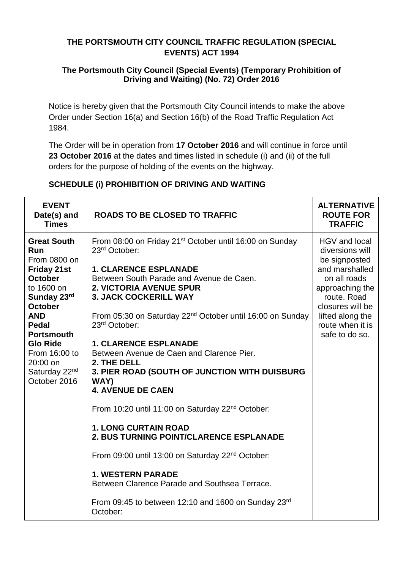### **THE PORTSMOUTH CITY COUNCIL TRAFFIC REGULATION (SPECIAL EVENTS) ACT 1994**

#### **The Portsmouth City Council (Special Events) (Temporary Prohibition of Driving and Waiting) (No. 72) Order 2016**

Notice is hereby given that the Portsmouth City Council intends to make the above Order under Section 16(a) and Section 16(b) of the Road Traffic Regulation Act 1984.

The Order will be in operation from **17 October 2016** and will continue in force until **23 October 2016** at the dates and times listed in schedule (i) and (ii) of the full orders for the purpose of holding of the events on the highway.

## **SCHEDULE (i) PROHIBITION OF DRIVING AND WAITING**

| <b>EVENT</b><br>Date(s) and<br><b>Times</b>                                                                                                                                                                                                                                      | <b>ROADS TO BE CLOSED TO TRAFFIC</b>                                                                                                                                                                                                                                                                                                                                                                                                                                                                                                                                                                                                                                                                                                                                                                                                                                                       | <b>ALTERNATIVE</b><br><b>ROUTE FOR</b><br><b>TRAFFIC</b>                                                                                                                                            |
|----------------------------------------------------------------------------------------------------------------------------------------------------------------------------------------------------------------------------------------------------------------------------------|--------------------------------------------------------------------------------------------------------------------------------------------------------------------------------------------------------------------------------------------------------------------------------------------------------------------------------------------------------------------------------------------------------------------------------------------------------------------------------------------------------------------------------------------------------------------------------------------------------------------------------------------------------------------------------------------------------------------------------------------------------------------------------------------------------------------------------------------------------------------------------------------|-----------------------------------------------------------------------------------------------------------------------------------------------------------------------------------------------------|
| <b>Great South</b><br><b>Run</b><br>From 0800 on<br><b>Friday 21st</b><br><b>October</b><br>to 1600 on<br>Sunday 23rd<br><b>October</b><br><b>AND</b><br>Pedal<br><b>Portsmouth</b><br><b>Glo Ride</b><br>From 16:00 to<br>20:00 on<br>Saturday 22 <sup>nd</sup><br>October 2016 | From 08:00 on Friday 21 <sup>st</sup> October until 16:00 on Sunday<br>23rd October:<br><b>1. CLARENCE ESPLANADE</b><br>Between South Parade and Avenue de Caen.<br><b>2. VICTORIA AVENUE SPUR</b><br><b>3. JACK COCKERILL WAY</b><br>From 05:30 on Saturday 22 <sup>nd</sup> October until 16:00 on Sunday<br>23 <sup>rd</sup> October:<br><b>1. CLARENCE ESPLANADE</b><br>Between Avenue de Caen and Clarence Pier.<br>2. THE DELL<br>3. PIER ROAD (SOUTH OF JUNCTION WITH DUISBURG<br>WAY)<br><b>4. AVENUE DE CAEN</b><br>From 10:20 until 11:00 on Saturday 22 <sup>nd</sup> October:<br><b>1. LONG CURTAIN ROAD</b><br><b>2. BUS TURNING POINT/CLARENCE ESPLANADE</b><br>From 09:00 until 13:00 on Saturday 22 <sup>nd</sup> October:<br><b>1. WESTERN PARADE</b><br>Between Clarence Parade and Southsea Terrace.<br>From 09:45 to between 12:10 and 1600 on Sunday 23rd<br>October: | HGV and local<br>diversions will<br>be signposted<br>and marshalled<br>on all roads<br>approaching the<br>route. Road<br>closures will be<br>lifted along the<br>route when it is<br>safe to do so. |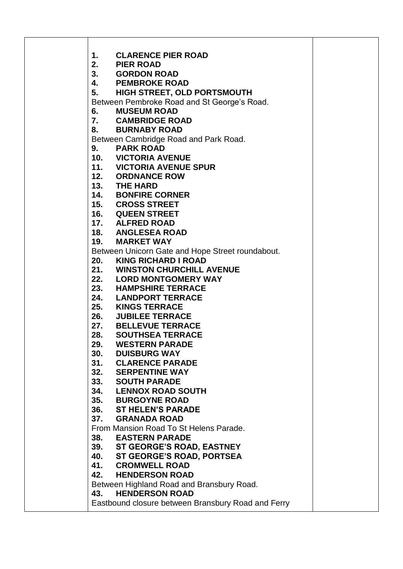| 1.  | <b>CLARENCE PIER ROAD</b>                          |
|-----|----------------------------------------------------|
| 2.  | <b>PIER ROAD</b>                                   |
|     | 3. GORDON ROAD                                     |
| 4.  | <b>PEMBROKE ROAD</b>                               |
| 5.  | <b>HIGH STREET, OLD PORTSMOUTH</b>                 |
|     | Between Pembroke Road and St George's Road.        |
| 6.  | <b>MUSEUM ROAD</b>                                 |
|     | 7. CAMBRIDGE ROAD                                  |
|     | 8. BURNABY ROAD                                    |
|     | Between Cambridge Road and Park Road.              |
| 9.  | <b>PARK ROAD</b>                                   |
|     | 10. VICTORIA AVENUE                                |
|     | 11. VICTORIA AVENUE SPUR                           |
|     | 12. ORDNANCE ROW                                   |
|     | 13. THE HARD                                       |
|     | 14. BONFIRE CORNER                                 |
|     | 15. CROSS STREET                                   |
|     | 16. QUEEN STREET                                   |
|     | 17. ALFRED ROAD                                    |
|     | 18. ANGLESEA ROAD                                  |
| 19. | <b>MARKET WAY</b>                                  |
|     | Between Unicorn Gate and Hope Street roundabout.   |
| 20. | <b>KING RICHARD I ROAD</b>                         |
|     | 21. WINSTON CHURCHILL AVENUE                       |
|     | 22. LORD MONTGOMERY WAY                            |
|     | 23. HAMPSHIRE TERRACE                              |
|     | 24. LANDPORT TERRACE                               |
|     | 25. KINGS TERRACE                                  |
|     | 26. JUBILEE TERRACE                                |
|     | 27. BELLEVUE TERRACE                               |
| 28. | <b>SOUTHSEA TERRACE</b>                            |
| 29. | <b>WESTERN PARADE</b>                              |
| 30. | <b>DUISBURG WAY</b>                                |
| 31. | <b>CLARENCE PARADE</b>                             |
| 32. | <b>SERPENTINE WAY</b>                              |
|     | 33. SOUTH PARADE                                   |
| 34. | <b>LENNOX ROAD SOUTH</b>                           |
| 35. | <b>BURGOYNE ROAD</b>                               |
| 36. | <b>ST HELEN'S PARADE</b>                           |
| 37. | <b>GRANADA ROAD</b>                                |
|     | From Mansion Road To St Helens Parade.             |
| 38. | <b>EASTERN PARADE</b>                              |
|     | 39. ST GEORGE'S ROAD, EASTNEY                      |
| 40. | ST GEORGE'S ROAD, PORTSEA                          |
| 41. | <b>CROMWELL ROAD</b>                               |
| 42. | <b>HENDERSON ROAD</b>                              |
|     | Between Highland Road and Bransbury Road.          |
| 43. | <b>HENDERSON ROAD</b>                              |
|     | Eastbound closure between Bransbury Road and Ferry |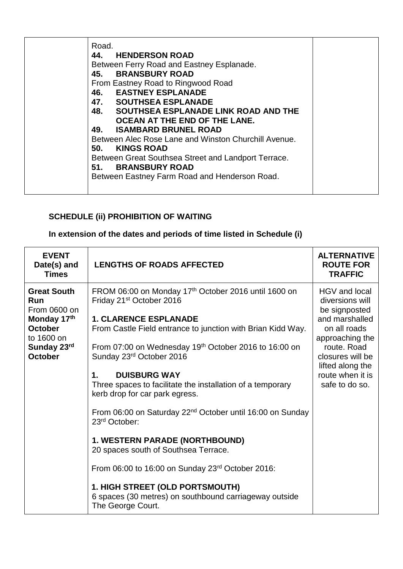| Road.<br>44. HENDERSON ROAD<br>Between Ferry Road and Eastney Esplanade.<br>45. BRANSBURY ROAD<br>From Eastney Road to Ringwood Road<br><b>46. EASTNEY ESPLANADE</b><br>47. SOUTHSEA ESPLANADE<br>48. SOUTHSEA ESPLANADE LINK ROAD AND THE<br>OCEAN AT THE END OF THE LANE.<br><b>ISAMBARD BRUNEL ROAD</b><br>49.<br>Between Alec Rose Lane and Winston Churchill Avenue.<br>50.<br><b>KINGS ROAD</b><br>Between Great Southsea Street and Landport Terrace.<br>51. BRANSBURY ROAD<br>Between Eastney Farm Road and Henderson Road. |  |
|-------------------------------------------------------------------------------------------------------------------------------------------------------------------------------------------------------------------------------------------------------------------------------------------------------------------------------------------------------------------------------------------------------------------------------------------------------------------------------------------------------------------------------------|--|
|-------------------------------------------------------------------------------------------------------------------------------------------------------------------------------------------------------------------------------------------------------------------------------------------------------------------------------------------------------------------------------------------------------------------------------------------------------------------------------------------------------------------------------------|--|

# **SCHEDULE (ii) PROHIBITION OF WAITING**

# **In extension of the dates and periods of time listed in Schedule (i)**

| <b>Great South</b><br>FROM 06:00 on Monday 17th October 2016 until 1600 on<br>HGV and local<br>Friday 21 <sup>st</sup> October 2016<br><b>Run</b><br>diversions will<br>From 0600 on<br>be signposted<br>Monday 17th<br><b>1. CLARENCE ESPLANADE</b><br>and marshalled<br><b>October</b><br>on all roads<br>From Castle Field entrance to junction with Brian Kidd Way.                                                                                                                                                                                                                                                                                                                                                                         | <b>ALTERNATIVE</b><br><b>ROUTE FOR</b><br><b>TRAFFIC</b> |
|-------------------------------------------------------------------------------------------------------------------------------------------------------------------------------------------------------------------------------------------------------------------------------------------------------------------------------------------------------------------------------------------------------------------------------------------------------------------------------------------------------------------------------------------------------------------------------------------------------------------------------------------------------------------------------------------------------------------------------------------------|----------------------------------------------------------|
| to 1600 on<br>approaching the<br>Sunday 23rd<br>From 07:00 on Wednesday 19 <sup>th</sup> October 2016 to 16:00 on<br>route. Road<br><b>October</b><br>Sunday 23rd October 2016<br>closures will be<br>lifted along the<br><b>DUISBURG WAY</b><br>route when it is<br>1.<br>Three spaces to facilitate the installation of a temporary<br>safe to do so.<br>kerb drop for car park egress.<br>From 06:00 on Saturday 22 <sup>nd</sup> October until 16:00 on Sunday<br>23 <sup>rd</sup> October:<br>1. WESTERN PARADE (NORTHBOUND)<br>20 spaces south of Southsea Terrace.<br>From 06:00 to 16:00 on Sunday 23rd October 2016:<br>1. HIGH STREET (OLD PORTSMOUTH)<br>6 spaces (30 metres) on southbound carriageway outside<br>The George Court. |                                                          |